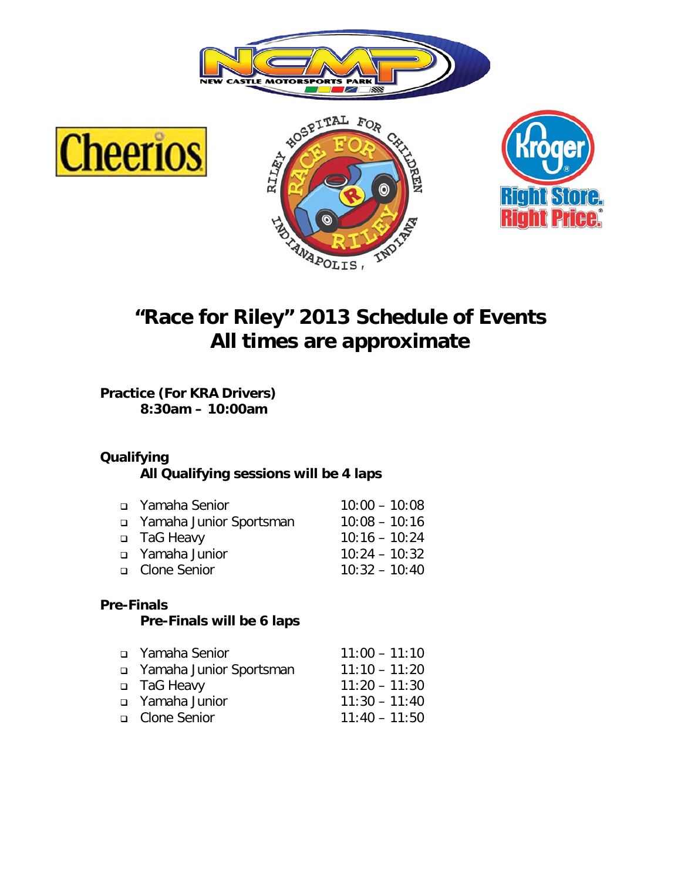







# **"Race for Riley" 2013 Schedule of Events All times are approximate**

**Practice (For KRA Drivers) 8:30am – 10:00am**

### **Qualifying**

**All Qualifying sessions will be 4 laps**

| n Yamaha Senior         | $10:00 - 10:08$ |
|-------------------------|-----------------|
| ramaha Junior Sportsman | $10:08 - 10:16$ |
| □ TaG Heavy             | $10:16 - 10:24$ |
| a Yamaha Junior         | $10:24 - 10:32$ |
| □ Clone Senior          | $10:32 - 10:40$ |
|                         |                 |

#### **Pre-Finals**

#### **Pre-Finals will be 6 laps**

| a Yamaha Senior           | $11:00 - 11:10$ |
|---------------------------|-----------------|
| u Yamaha Junior Sportsman | $11:10 - 11:20$ |
| □ TaG Heavy               | $11:20 - 11:30$ |
| a Yamaha Junior           | $11:30 - 11:40$ |
| □ Clone Senior            | $11:40 - 11:50$ |
|                           |                 |